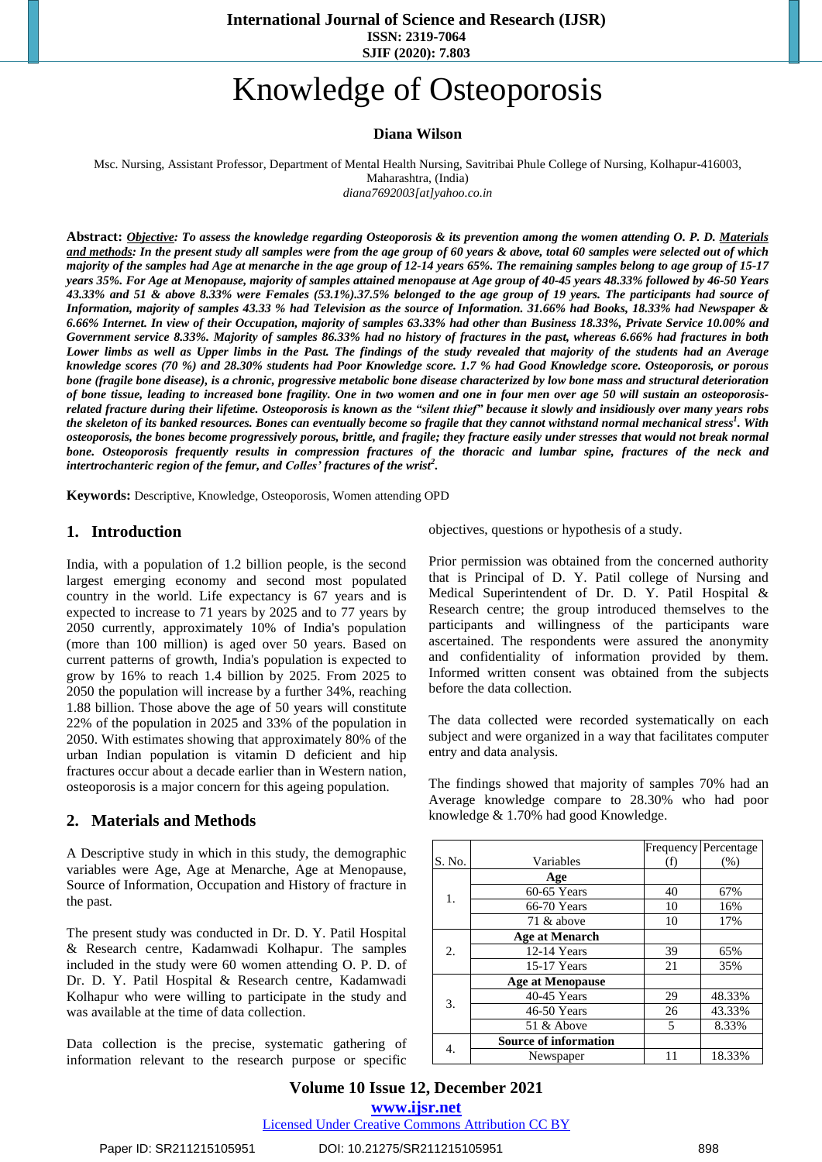**International Journal of Science and Research (IJSR) ISSN: 2319-7064 SJIF (2020): 7.803**

# Knowledge of Osteoporosis

#### **Diana Wilson**

Msc. Nursing, Assistant Professor, Department of Mental Health Nursing, Savitribai Phule College of Nursing, Kolhapur-416003,

Maharashtra, (India)

*diana7692003[at]yahoo.co.in*

Abstract: Objective: To assess the knowledge regarding Osteoporosis & its prevention among the women attending O. P. D. Materials and methods: In the present study all samples were from the age group of 60 years & above, total 60 samples were selected out of which majority of the samples had Age at menarche in the age group of 12-14 years 65%. The remaining samples belong to age group of 15-17 years 35%. For Age at Menopause, majority of samples attained menopause at Age group of 40-45 years 48.33% followed by 46-50 Years 43.33% and 51 & above 8.33% were Females (53.1%).37.5% belonged to the age group of 19 years. The participants had source of Information, majority of samples 43.33 % had Television as the source of Information. 31.66% had Books, 18.33% had Newspaper & 6.66% Internet. In view of their Occupation, majority of samples 63.33% had other than Business 18.33%, Private Service 10.00% and Government service 8.33%. Majority of samples 86.33% had no history of fractures in the past, whereas 6.66% had fractures in both Lower limbs as well as Upper limbs in the Past. The findings of the study revealed that majority of the students had an Average knowledge scores (70 %) and 28.30% students had Poor Knowledge score. 1.7 % had Good Knowledge score. Osteoporosis, or porous bone (fragile bone disease), is a chronic, progressive metabolic bone disease characterized by low bone mass and structural deterioration of bone tissue, leading to increased bone fragility. One in two women and one in four men over age 50 will sustain an osteoporosisrelated fracture during their lifetime. Osteoporosis is known as the "silent thief" because it slowly and insidiously over many years robs the skeleton of its banked resources. Bones can eventually become so fragile that they cannot withstand normal mechanical stress<sup>1</sup>. With osteoporosis, the bones become progressively porous, brittle, and fragile; they fracture easily under stresses that would not break normal bone. Osteoporosis frequently results in compression fractures of the thoracic and lumbar spine, fractures of the neck and *intertrochanteric region of the femur, and Colles' fractures of the wrist<sup>2</sup> .*

**Keywords:** Descriptive, Knowledge, Osteoporosis, Women attending OPD

### **1. Introduction**

India, with a population of 1.2 billion people, is the second largest emerging economy and second most populated country in the world. Life expectancy is 67 years and is expected to increase to 71 years by 2025 and to 77 years by 2050 currently, approximately 10% of India's population (more than 100 million) is aged over 50 years. Based on current patterns of growth, India's population is expected to grow by 16% to reach 1.4 billion by 2025. From 2025 to 2050 the population will increase by a further 34%, reaching 1.88 billion. Those above the age of 50 years will constitute 22% of the population in 2025 and 33% of the population in 2050. With estimates showing that approximately 80% of the urban Indian population is vitamin D deficient and hip fractures occur about a decade earlier than in Western nation, osteoporosis is a major concern for this ageing population.

### **2. Materials and Methods**

A Descriptive study in which in this study, the demographic variables were Age, Age at Menarche, Age at Menopause, Source of Information, Occupation and History of fracture in the past.

The present study was conducted in Dr. D. Y. Patil Hospital & Research centre, Kadamwadi Kolhapur. The samples included in the study were 60 women attending O. P. D. of Dr. D. Y. Patil Hospital & Research centre, Kadamwadi Kolhapur who were willing to participate in the study and was available at the time of data collection.

Data collection is the precise, systematic gathering of information relevant to the research purpose or specific

objectives, questions or hypothesis of a study.

Prior permission was obtained from the concerned authority that is Principal of D. Y. Patil college of Nursing and Medical Superintendent of Dr. D. Y. Patil Hospital & Research centre; the group introduced themselves to the participants and willingness of the participants ware ascertained. The respondents were assured the anonymity and confidentiality of information provided by them. Informed written consent was obtained from the subjects before the data collection.

The data collected were recorded systematically on each subject and were organized in a way that facilitates computer entry and data analysis.

The findings showed that majority of samples 70% had an Average knowledge compare to 28.30% who had poor knowledge & 1.70% had good Knowledge.

|        |                              |     | <b>Frequency</b> Percentage |
|--------|------------------------------|-----|-----------------------------|
| S. No. | Variables                    | (f) | (% )                        |
| 1.     | Age                          |     |                             |
|        | $60-65$ Years                | 40  | 67%                         |
|        | 66-70 Years                  | 10  | 16%                         |
|        | 71 & above                   | 10  | 17%                         |
| 2.     | <b>Age at Menarch</b>        |     |                             |
|        | 12-14 Years                  | 39  | 65%                         |
|        | 15-17 Years                  | 21  | 35%                         |
| 3.     | <b>Age at Menopause</b>      |     |                             |
|        | 40-45 Years                  | 29  | 48.33%                      |
|        | 46-50 Years                  | 26  | 43.33%                      |
|        | 51 $&$ Above                 | 5   | 8.33%                       |
| 4.     | <b>Source of information</b> |     |                             |
|        | Newspaper                    | 11  | 18.33%                      |

**Volume 10 Issue 12, December 2021 www.ijsr.net** Licensed Under Creative Commons Attribution CC BY